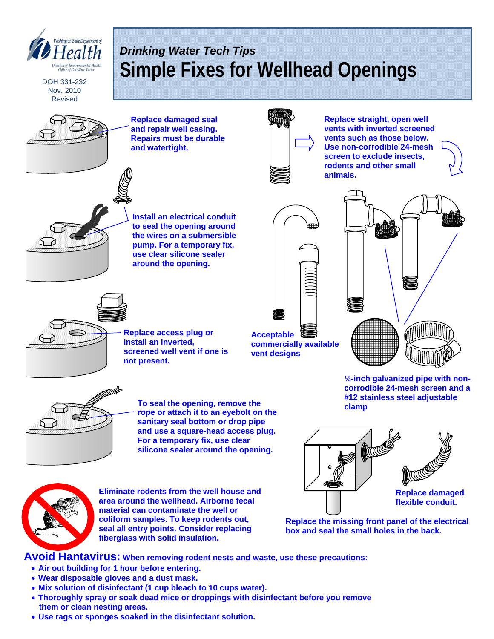

- **Mix solution of disinfectant (1 cup bleach to 10 cups water).**
- **Thoroughly spray or soak dead mice or droppings with disinfectant before you remove them or clean nesting areas.**
- **Use rags or sponges soaked in the disinfectant solution.**